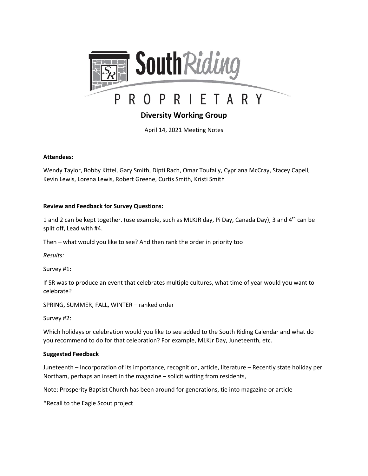

# **Diversity Working Group**

April 14, 2021 Meeting Notes

#### **Attendees:**

Wendy Taylor, Bobby Kittel, Gary Smith, Dipti Rach, Omar Toufaily, Cypriana McCray, Stacey Capell, Kevin Lewis, Lorena Lewis, Robert Greene, Curtis Smith, Kristi Smith

#### **Review and Feedback for Survey Questions:**

1 and 2 can be kept together. (use example, such as MLKJR day, Pi Day, Canada Day), 3 and 4<sup>th</sup> can be split off, Lead with #4.

Then – what would you like to see? And then rank the order in priority too

*Results:*

Survey #1:

If SR was to produce an event that celebrates multiple cultures, what time of year would you want to celebrate?

SPRING, SUMMER, FALL, WINTER – ranked order

Survey #2:

Which holidays or celebration would you like to see added to the South Riding Calendar and what do you recommend to do for that celebration? For example, MLKJr Day, Juneteenth, etc.

#### **Suggested Feedback**

Juneteenth – Incorporation of its importance, recognition, article, literature – Recently state holiday per Northam, perhaps an insert in the magazine – solicit writing from residents,

Note: Prosperity Baptist Church has been around for generations, tie into magazine or article

\*Recall to the Eagle Scout project